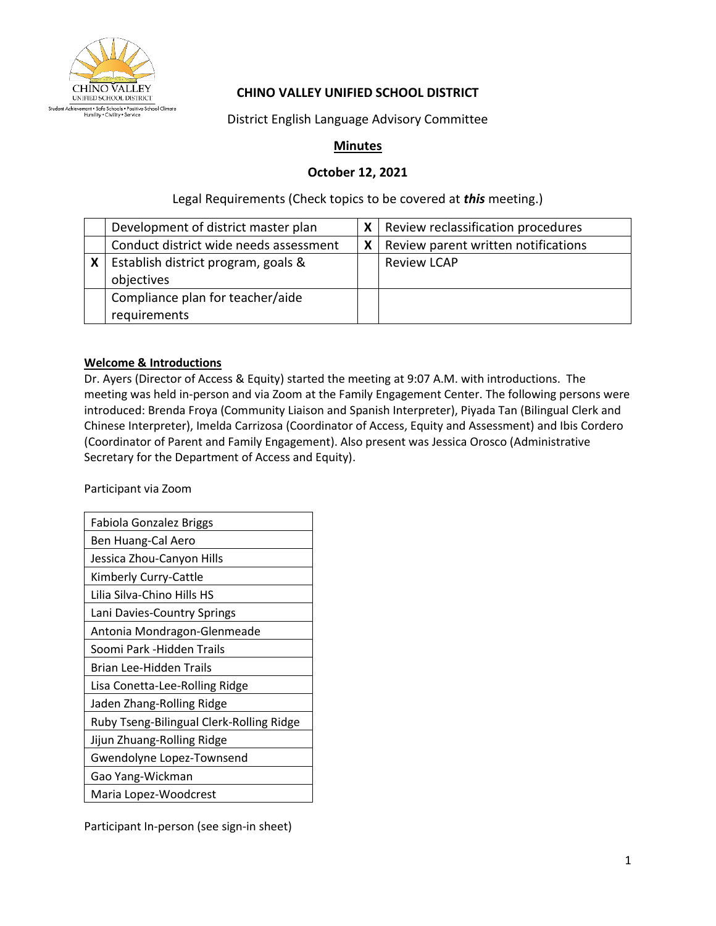

# **CHINO VALLEY UNIFIED SCHOOL DISTRICT**

District English Language Advisory Committee

## **Minutes**

## **October 12, 2021**

Legal Requirements (Check topics to be covered at *this* meeting.)

|              | Development of district master plan               |                           | Review reclassification procedures  |
|--------------|---------------------------------------------------|---------------------------|-------------------------------------|
|              | Conduct district wide needs assessment            | $\boldsymbol{\mathsf{X}}$ | Review parent written notifications |
| $\mathsf{X}$ | Establish district program, goals &<br>objectives |                           | <b>Review LCAP</b>                  |
|              | Compliance plan for teacher/aide<br>requirements  |                           |                                     |

#### **Welcome & Introductions**

Dr. Ayers (Director of Access & Equity) started the meeting at 9:07 A.M. with introductions. The meeting was held in-person and via Zoom at the Family Engagement Center. The following persons were introduced: Brenda Froya (Community Liaison and Spanish Interpreter), Piyada Tan (Bilingual Clerk and Chinese Interpreter), Imelda Carrizosa (Coordinator of Access, Equity and Assessment) and Ibis Cordero (Coordinator of Parent and Family Engagement). Also present was Jessica Orosco (Administrative Secretary for the Department of Access and Equity).

Participant via Zoom

| Fabiola Gonzalez Briggs                  |  |  |  |
|------------------------------------------|--|--|--|
| Ben Huang-Cal Aero                       |  |  |  |
| Jessica Zhou-Canyon Hills                |  |  |  |
| Kimberly Curry-Cattle                    |  |  |  |
| Lilia Silva-Chino Hills HS               |  |  |  |
| Lani Davies-Country Springs              |  |  |  |
| Antonia Mondragon-Glenmeade              |  |  |  |
| Soomi Park -Hidden Trails                |  |  |  |
| <b>Brian Lee-Hidden Trails</b>           |  |  |  |
| Lisa Conetta-Lee-Rolling Ridge           |  |  |  |
| Jaden Zhang-Rolling Ridge                |  |  |  |
| Ruby Tseng-Bilingual Clerk-Rolling Ridge |  |  |  |
| Jijun Zhuang-Rolling Ridge               |  |  |  |
| Gwendolyne Lopez-Townsend                |  |  |  |
| Gao Yang-Wickman                         |  |  |  |
| Maria Lopez-Woodcrest                    |  |  |  |

Participant In-person (see sign-in sheet)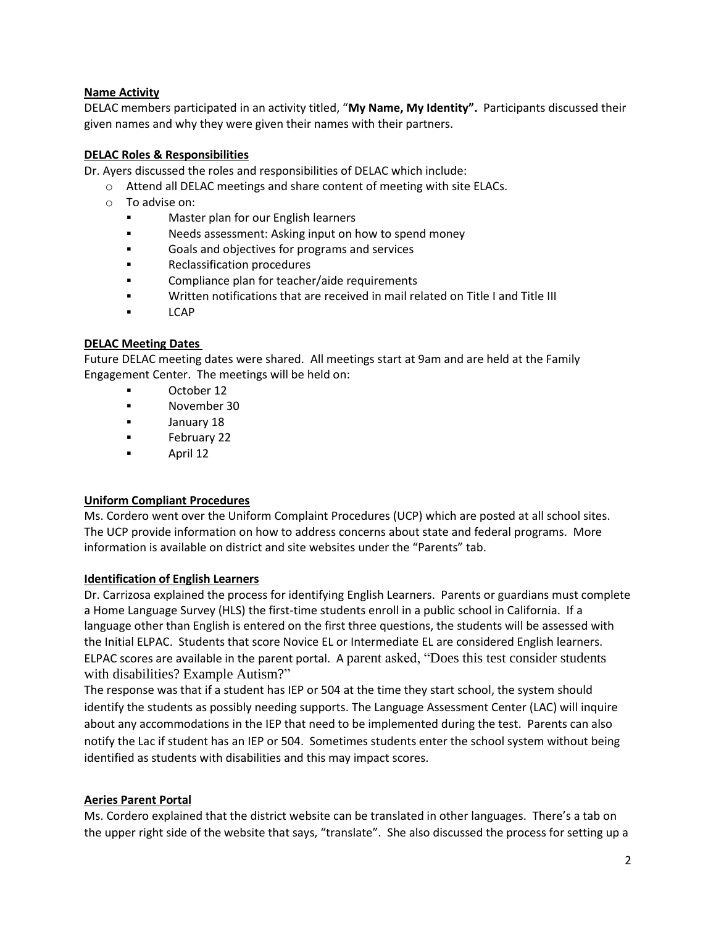#### **Name Activity**

DELAC members participated in an activity titled, "**My Name, My Identity".** Participants discussed their given names and why they were given their names with their partners.

#### **DELAC Roles & Responsibilities**

Dr. Ayers discussed the roles and responsibilities of DELAC which include:

- o Attend all DELAC meetings and share content of meeting with site ELACs.
- o To advise on:
	- Master plan for our English learners
	- Needs assessment: Asking input on how to spend money
	- Goals and objectives for programs and services
	- Reclassification procedures
	- Compliance plan for teacher/aide requirements
	- Written notifications that are received in mail related on Title I and Title III
	- LCAP

#### **DELAC Meeting Dates**

Future DELAC meeting dates were shared. All meetings start at 9am and are held at the Family Engagement Center. The meetings will be held on:

- October 12
- November 30
- January 18
- February 22
- April 12

#### **Uniform Compliant Procedures**

Ms. Cordero went over the Uniform Complaint Procedures (UCP) which are posted at all school sites. The UCP provide information on how to address concerns about state and federal programs. More information is available on district and site websites under the "Parents" tab.

#### **Identification of English Learners**

Dr. Carrizosa explained the process for identifying English Learners. Parents or guardians must complete a Home Language Survey (HLS) the first-time students enroll in a public school in California. If a language other than English is entered on the first three questions, the students will be assessed with the Initial ELPAC. Students that score Novice EL or Intermediate EL are considered English learners. ELPAC scores are available in the parent portal. A parent asked, "Does this test consider students with disabilities? Example Autism?"

The response was that if a student has IEP or 504 at the time they start school, the system should identify the students as possibly needing supports. The Language Assessment Center (LAC) will inquire about any accommodations in the IEP that need to be implemented during the test. Parents can also notify the Lac if student has an IEP or 504. Sometimes students enter the school system without being identified as students with disabilities and this may impact scores.

#### **Aeries Parent Portal**

Ms. Cordero explained that the district website can be translated in other languages. There's a tab on the upper right side of the website that says, "translate". She also discussed the process for setting up a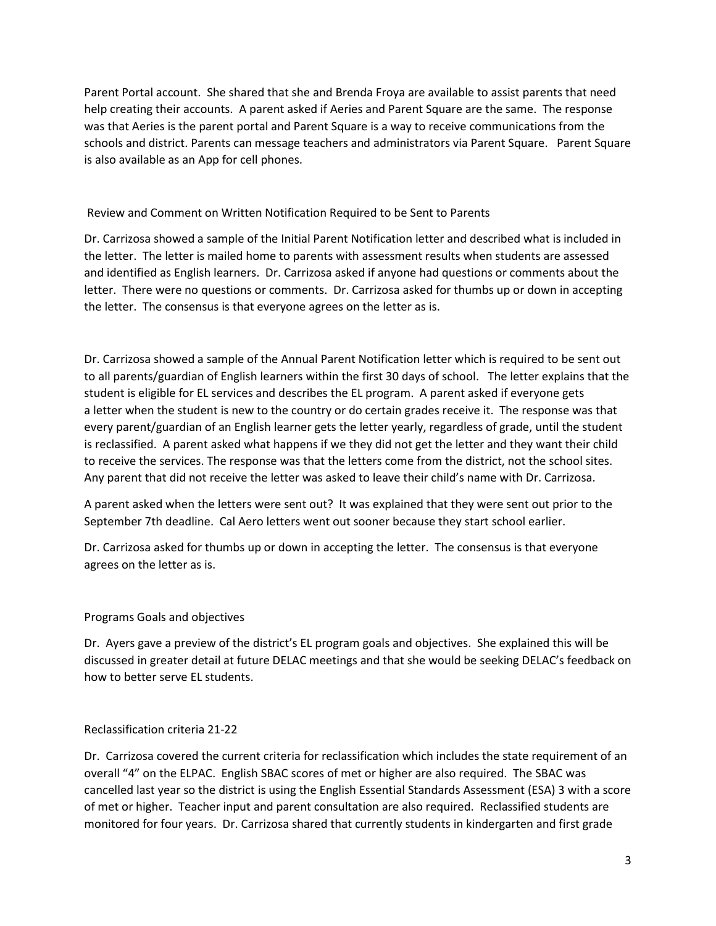Parent Portal account. She shared that she and Brenda Froya are available to assist parents that need help creating their accounts. A parent asked if Aeries and Parent Square are the same. The response was that Aeries is the parent portal and Parent Square is a way to receive communications from the schools and district. Parents can message teachers and administrators via Parent Square. Parent Square is also available as an App for cell phones.

Review and Comment on Written Notification Required to be Sent to Parents

Dr. Carrizosa showed a sample of the Initial Parent Notification letter and described what is included in the letter. The letter is mailed home to parents with assessment results when students are assessed and identified as English learners. Dr. Carrizosa asked if anyone had questions or comments about the letter. There were no questions or comments. Dr. Carrizosa asked for thumbs up or down in accepting the letter. The consensus is that everyone agrees on the letter as is.

Dr. Carrizosa showed a sample of the Annual Parent Notification letter which is required to be sent out to all parents/guardian of English learners within the first 30 days of school. The letter explains that the student is eligible for EL services and describes the EL program. A parent asked if everyone gets a letter when the student is new to the country or do certain grades receive it. The response was that every parent/guardian of an English learner gets the letter yearly, regardless of grade, until the student is reclassified. A parent asked what happens if we they did not get the letter and they want their child to receive the services. The response was that the letters come from the district, not the school sites. Any parent that did not receive the letter was asked to leave their child's name with Dr. Carrizosa.

A parent asked when the letters were sent out? It was explained that they were sent out prior to the September 7th deadline. Cal Aero letters went out sooner because they start school earlier.

Dr. Carrizosa asked for thumbs up or down in accepting the letter. The consensus is that everyone agrees on the letter as is.

## Programs Goals and objectives

Dr. Ayers gave a preview of the district's EL program goals and objectives. She explained this will be discussed in greater detail at future DELAC meetings and that she would be seeking DELAC's feedback on how to better serve EL students.

## Reclassification criteria 21-22

Dr. Carrizosa covered the current criteria for reclassification which includes the state requirement of an overall "4" on the ELPAC. English SBAC scores of met or higher are also required. The SBAC was cancelled last year so the district is using the English Essential Standards Assessment (ESA) 3 with a score of met or higher. Teacher input and parent consultation are also required. Reclassified students are monitored for four years. Dr. Carrizosa shared that currently students in kindergarten and first grade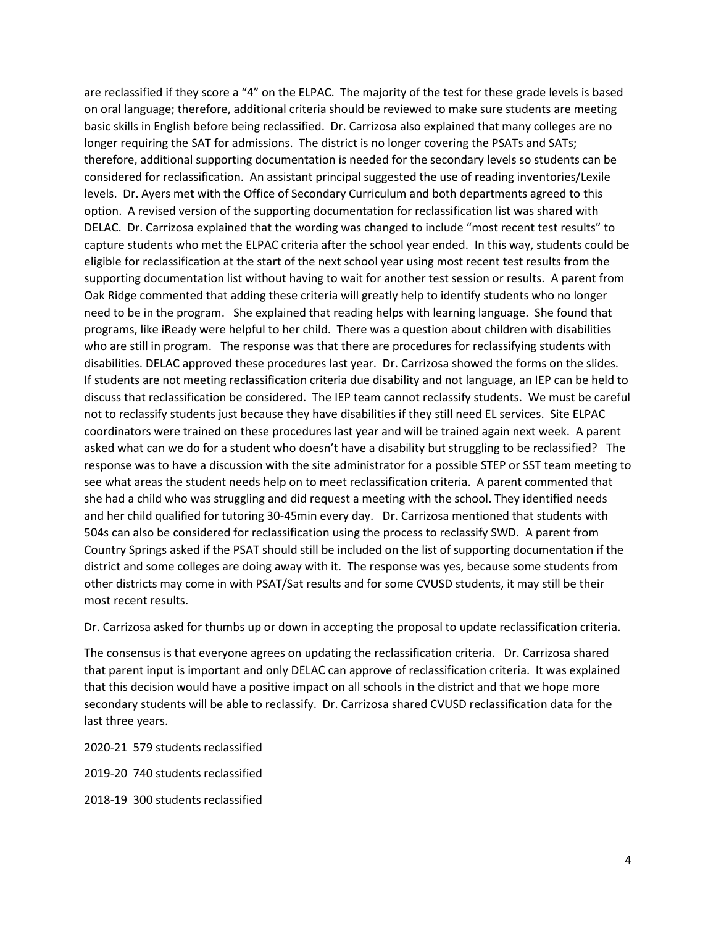are reclassified if they score a "4" on the ELPAC. The majority of the test for these grade levels is based on oral language; therefore, additional criteria should be reviewed to make sure students are meeting basic skills in English before being reclassified. Dr. Carrizosa also explained that many colleges are no longer requiring the SAT for admissions. The district is no longer covering the PSATs and SATs; therefore, additional supporting documentation is needed for the secondary levels so students can be considered for reclassification. An assistant principal suggested the use of reading inventories/Lexile levels. Dr. Ayers met with the Office of Secondary Curriculum and both departments agreed to this option. A revised version of the supporting documentation for reclassification list was shared with DELAC. Dr. Carrizosa explained that the wording was changed to include "most recent test results" to capture students who met the ELPAC criteria after the school year ended. In this way, students could be eligible for reclassification at the start of the next school year using most recent test results from the supporting documentation list without having to wait for another test session or results. A parent from Oak Ridge commented that adding these criteria will greatly help to identify students who no longer need to be in the program. She explained that reading helps with learning language. She found that programs, like iReady were helpful to her child. There was a question about children with disabilities who are still in program. The response was that there are procedures for reclassifying students with disabilities. DELAC approved these procedures last year. Dr. Carrizosa showed the forms on the slides. If students are not meeting reclassification criteria due disability and not language, an IEP can be held to discuss that reclassification be considered. The IEP team cannot reclassify students. We must be careful not to reclassify students just because they have disabilities if they still need EL services. Site ELPAC coordinators were trained on these procedures last year and will be trained again next week. A parent asked what can we do for a student who doesn't have a disability but struggling to be reclassified? The response was to have a discussion with the site administrator for a possible STEP or SST team meeting to see what areas the student needs help on to meet reclassification criteria. A parent commented that she had a child who was struggling and did request a meeting with the school. They identified needs and her child qualified for tutoring 30-45min every day. Dr. Carrizosa mentioned that students with 504s can also be considered for reclassification using the process to reclassify SWD. A parent from Country Springs asked if the PSAT should still be included on the list of supporting documentation if the district and some colleges are doing away with it. The response was yes, because some students from other districts may come in with PSAT/Sat results and for some CVUSD students, it may still be their most recent results.

Dr. Carrizosa asked for thumbs up or down in accepting the proposal to update reclassification criteria.

The consensus is that everyone agrees on updating the reclassification criteria. Dr. Carrizosa shared that parent input is important and only DELAC can approve of reclassification criteria. It was explained that this decision would have a positive impact on all schools in the district and that we hope more secondary students will be able to reclassify. Dr. Carrizosa shared CVUSD reclassification data for the last three years.

2020-21 579 students reclassified 2019-20 740 students reclassified

2018-19 300 students reclassified